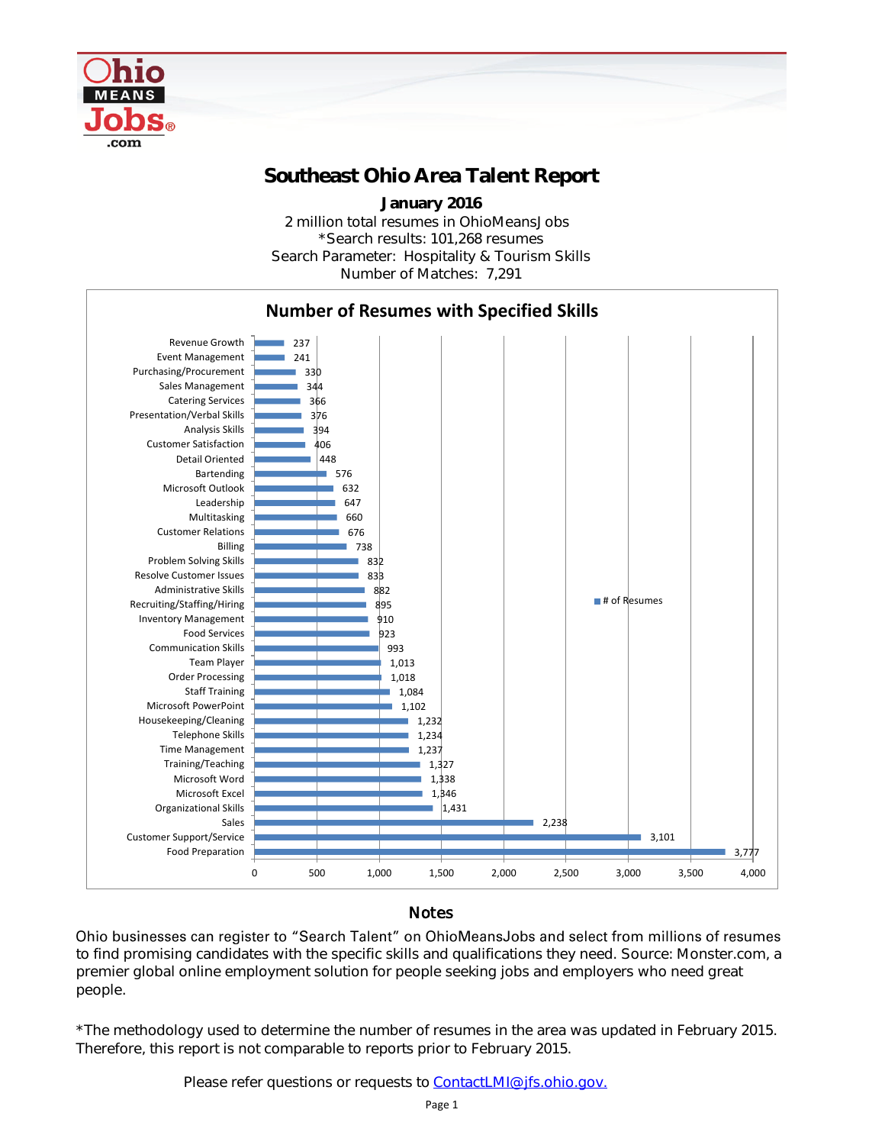

## Southeast Ohio Area Talent Report

2 million total resumes in OhioMeansJobs \*Search results: 101,268 resumes Number of Matches: 7,291 January 2016 Search Parameter: Hospitality & Tourism Skills



## **Notes**

Ohio businesses can register to "Search Talent" on OhioMeansJobs and select from millions of resumes to find promising candidates with the specific skills and qualifications they need. Source: Monster.com, a premier global online employment solution for people seeking jobs and employers who need great people.

\*The methodology used to determine the number of resumes in the area was updated in February 2015. Therefore, this report is not comparable to reports prior to February 2015.

Please refer questions or requests to [ContactLMI@jfs.ohio.gov.](mailto:ContactLMI@jfs.ohio.gov.)